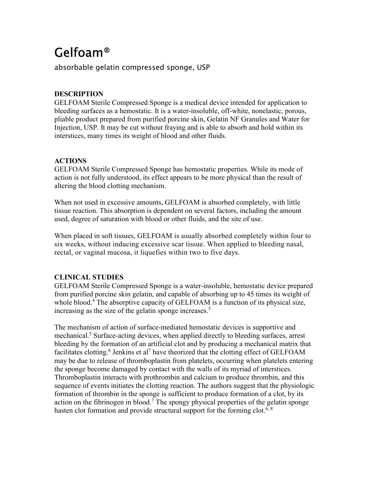# Gelfoam®

absorbable gelatin compressed sponge, USP

# **DESCRIPTION**

GELFOAM Sterile Compressed Sponge is a medical device intended for application to bleeding surfaces as a hemostatic. It is a water-insoluble, off-white, nonelastic, porous, pliable product prepared from purified porcine skin, Gelatin NF Granules and Water for Injection, USP. It may be cut without fraying and is able to absorb and hold within its interstices, many times its weight of blood and other fluids.

# **ACTIONS**

GELFOAM Sterile Compressed Sponge has hemostatic properties. While its mode of action is not fully understood, its effect appears to be more physical than the result of altering the blood clotting mechanism.

When not used in excessive amounts, GELFOAM is absorbed completely, with little tissue reaction. This absorption is dependent on several factors, including the amount used, degree of saturation with blood or other fluids, and the site of use.

When placed in soft tissues, GELFOAM is usually absorbed completely within four to six weeks, without inducing excessive scar tissue. When applied to bleeding nasal, rectal, or vaginal mucosa, it liquefies within two to five days.

# **CLINICAL STUDIES**

GELFOAM Sterile Compressed Sponge is a water-insoluble, hemostatic device prepared from purified porcine skin gelatin, and capable of absorbing up to 45 times its weight of whole blood.<sup>4</sup> The absorptive capacity of GELFOAM is a function of its physical size, increasing as the size of the gelatin sponge increases.<sup>5</sup>

The mechanism of action of surface-mediated hemostatic devices is supportive and mechanical.<sup>5</sup> Surface-acting devices, when applied directly to bleeding surfaces, arrest bleeding by the formation of an artificial clot and by producing a mechanical matrix that facilitates clotting.<sup>6</sup> Jenkins et al<sup>7</sup> have theorized that the clotting effect of GELFOAM may be due to release of thromboplastin from platelets, occurring when platelets entering the sponge become damaged by contact with the walls of its myriad of interstices. Thromboplastin interacts with prothrombin and calcium to produce thrombin, and this sequence of events initiates the clotting reaction. The authors suggest that the physiologic formation of thrombin in the sponge is sufficient to produce formation of a clot, by its action on the fibrinogen in blood.<sup>7</sup> The spongy physical properties of the gelatin sponge hasten clot formation and provide structural support for the forming clot.<sup>6, 8</sup>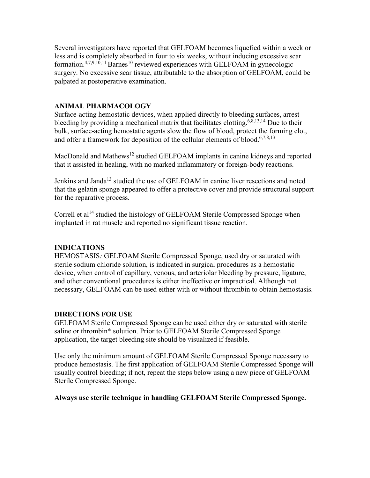Several investigators have reported that GELFOAM becomes liquefied within a week or less and is completely absorbed in four to six weeks, without inducing excessive scar formation.<sup>4,7,9,10,11</sup> Barnes<sup>10</sup> reviewed experiences with GELFOAM in gynecologic surgery. No excessive scar tissue, attributable to the absorption of GELFOAM, could be palpated at postoperative examination.

#### **ANIMAL PHARMACOLOGY**

Surface-acting hemostatic devices, when applied directly to bleeding surfaces, arrest bleeding by providing a mechanical matrix that facilitates clotting.<sup>6,8,13,14</sup> Due to their bulk, surface-acting hemostatic agents slow the flow of blood, protect the forming clot, and offer a framework for deposition of the cellular elements of blood.<sup>6,7,8,13</sup>

MacDonald and Mathews<sup>12</sup> studied GELFOAM implants in canine kidneys and reported that it assisted in healing, with no marked inflammatory or foreign-body reactions.

Jenkins and Janda<sup>13</sup> studied the use of GELFOAM in canine liver resections and noted that the gelatin sponge appeared to offer a protective cover and provide structural support for the reparative process.

Correll et  $a^{14}$  studied the histology of GELFOAM Sterile Compressed Sponge when implanted in rat muscle and reported no significant tissue reaction.

# **INDICATIONS**

HEMOSTASIS*:* GELFOAM Sterile Compressed Sponge, used dry or saturated with sterile sodium chloride solution, is indicated in surgical procedures as a hemostatic device, when control of capillary, venous, and arteriolar bleeding by pressure, ligature, and other conventional procedures is either ineffective or impractical. Although not necessary, GELFOAM can be used either with or without thrombin to obtain hemostasis.

#### **DIRECTIONS FOR USE**

GELFOAM Sterile Compressed Sponge can be used either dry or saturated with sterile saline or thrombin\* solution. Prior to GELFOAM Sterile Compressed Sponge application, the target bleeding site should be visualized if feasible.

Use only the minimum amount of GELFOAM Sterile Compressed Sponge necessary to produce hemostasis. The first application of GELFOAM Sterile Compressed Sponge will usually control bleeding; if not, repeat the steps below using a new piece of GELFOAM Sterile Compressed Sponge.

#### **Always use sterile technique in handling GELFOAM Sterile Compressed Sponge.**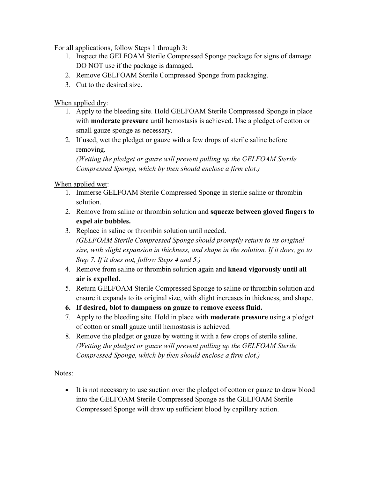For all applications, follow Steps 1 through 3:

- 1. Inspect the GELFOAM Sterile Compressed Sponge package for signs of damage. DO NOT use if the package is damaged.
- 2. Remove GELFOAM Sterile Compressed Sponge from packaging.
- 3. Cut to the desired size.

# When applied dry:

- 1. Apply to the bleeding site. Hold GELFOAM Sterile Compressed Sponge in place with **moderate pressure** until hemostasis is achieved. Use a pledget of cotton or small gauze sponge as necessary.
- 2. If used, wet the pledget or gauze with a few drops of sterile saline before removing.

*(Wetting the pledget or gauze will prevent pulling up the GELFOAM Sterile Compressed Sponge, which by then should enclose a firm clot.)*

# When applied wet:

- 1. Immerse GELFOAM Sterile Compressed Sponge in sterile saline or thrombin solution.
- 2. Remove from saline or thrombin solution and **squeeze between gloved fingers to expel air bubbles.**
- 3. Replace in saline or thrombin solution until needed. *(GELFOAM Sterile Compressed Sponge should promptly return to its original size, with slight expansion in thickness, and shape in the solution. If it does, go to Step 7. If it does not, follow Steps 4 and 5.)*
- 4. Remove from saline or thrombin solution again and **knead vigorously until all air is expelled.**
- 5. Return GELFOAM Sterile Compressed Sponge to saline or thrombin solution and ensure it expands to its original size, with slight increases in thickness, and shape.
- **6. If desired, blot to dampness on gauze to remove excess fluid.**
- 7. Apply to the bleeding site. Hold in place with **moderate pressure** using a pledget of cotton or small gauze until hemostasis is achieved.
- 8. Remove the pledget or gauze by wetting it with a few drops of sterile saline. *(Wetting the pledget or gauze will prevent pulling up the GELFOAM Sterile Compressed Sponge, which by then should enclose a firm clot.)*

Notes:

 It is not necessary to use suction over the pledget of cotton or gauze to draw blood into the GELFOAM Sterile Compressed Sponge as the GELFOAM Sterile Compressed Sponge will draw up sufficient blood by capillary action.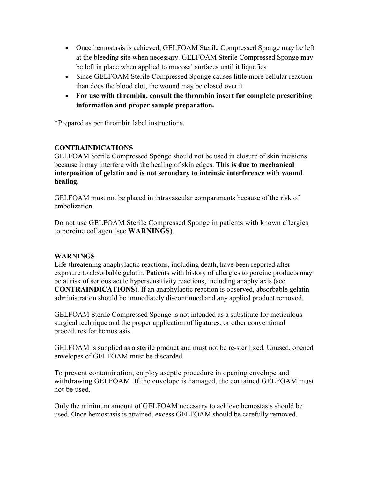- Once hemostasis is achieved, GELFOAM Sterile Compressed Sponge may be left at the bleeding site when necessary. GELFOAM Sterile Compressed Sponge may be left in place when applied to mucosal surfaces until it liquefies.
- Since GELFOAM Sterile Compressed Sponge causes little more cellular reaction than does the blood clot, the wound may be closed over it.
- **For use with thrombin, consult the thrombin insert for complete prescribing information and proper sample preparation.**

\*Prepared as per thrombin label instructions.

# **CONTRAINDICATIONS**

GELFOAM Sterile Compressed Sponge should not be used in closure of skin incisions because it may interfere with the healing of skin edges. **This is due to mechanical interposition of gelatin and is not secondary to intrinsic interference with wound healing.**

GELFOAM must not be placed in intravascular compartments because of the risk of embolization.

Do not use GELFOAM Sterile Compressed Sponge in patients with known allergies to porcine collagen (see **WARNINGS**).

# **WARNINGS**

Life-threatening anaphylactic reactions, including death, have been reported after exposure to absorbable gelatin. Patients with history of allergies to porcine products may be at risk of serious acute hypersensitivity reactions, including anaphylaxis (see **CONTRAINDICATIONS**). If an anaphylactic reaction is observed, absorbable gelatin administration should be immediately discontinued and any applied product removed.

GELFOAM Sterile Compressed Sponge is not intended as a substitute for meticulous surgical technique and the proper application of ligatures, or other conventional procedures for hemostasis.

GELFOAM is supplied as a sterile product and must not be re-sterilized. Unused, opened envelopes of GELFOAM must be discarded.

To prevent contamination, employ aseptic procedure in opening envelope and withdrawing GELFOAM. If the envelope is damaged, the contained GELFOAM must not be used.

Only the minimum amount of GELFOAM necessary to achieve hemostasis should be used. Once hemostasis is attained, excess GELFOAM should be carefully removed.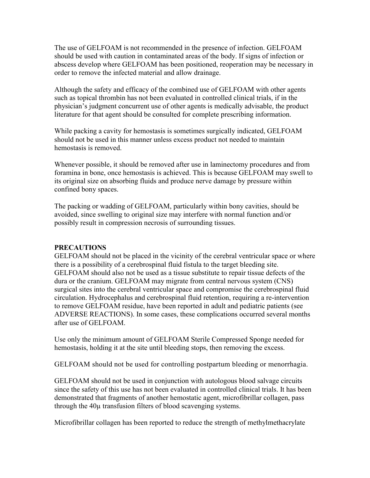The use of GELFOAM is not recommended in the presence of infection. GELFOAM should be used with caution in contaminated areas of the body. If signs of infection or abscess develop where GELFOAM has been positioned, reoperation may be necessary in order to remove the infected material and allow drainage.

Although the safety and efficacy of the combined use of GELFOAM with other agents such as topical thrombin has not been evaluated in controlled clinical trials, if in the physician's judgment concurrent use of other agents is medically advisable, the product literature for that agent should be consulted for complete prescribing information.

While packing a cavity for hemostasis is sometimes surgically indicated, GELFOAM should not be used in this manner unless excess product not needed to maintain hemostasis is removed.

Whenever possible, it should be removed after use in laminectomy procedures and from foramina in bone, once hemostasis is achieved. This is because GELFOAM may swell to its original size on absorbing fluids and produce nerve damage by pressure within confined bony spaces.

The packing or wadding of GELFOAM, particularly within bony cavities, should be avoided, since swelling to original size may interfere with normal function and/or possibly result in compression necrosis of surrounding tissues.

#### **PRECAUTIONS**

GELFOAM should not be placed in the vicinity of the cerebral ventricular space or where there is a possibility of a cerebrospinal fluid fistula to the target bleeding site. GELFOAM should also not be used as a tissue substitute to repair tissue defects of the dura or the cranium. GELFOAM may migrate from central nervous system (CNS) surgical sites into the cerebral ventricular space and compromise the cerebrospinal fluid circulation. Hydrocephalus and cerebrospinal fluid retention, requiring a re-intervention to remove GELFOAM residue, have been reported in adult and pediatric patients (see ADVERSE REACTIONS). In some cases, these complications occurred several months after use of GELFOAM.

Use only the minimum amount of GELFOAM Sterile Compressed Sponge needed for hemostasis, holding it at the site until bleeding stops, then removing the excess.

GELFOAM should not be used for controlling postpartum bleeding or menorrhagia.

GELFOAM should not be used in conjunction with autologous blood salvage circuits since the safety of this use has not been evaluated in controlled clinical trials. It has been demonstrated that fragments of another hemostatic agent, microfibrillar collagen, pass through the 40µ transfusion filters of blood scavenging systems.

Microfibrillar collagen has been reported to reduce the strength of methylmethacrylate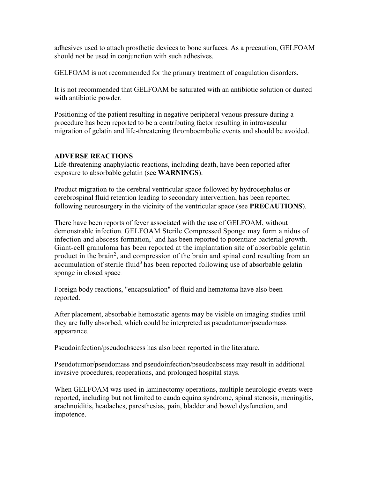adhesives used to attach prosthetic devices to bone surfaces. As a precaution, GELFOAM should not be used in conjunction with such adhesives.

GELFOAM is not recommended for the primary treatment of coagulation disorders.

It is not recommended that GELFOAM be saturated with an antibiotic solution or dusted with antibiotic powder.

Positioning of the patient resulting in negative peripheral venous pressure during a procedure has been reported to be a contributing factor resulting in intravascular migration of gelatin and life-threatening thromboembolic events and should be avoided.

# **ADVERSE REACTIONS**

Life-threatening anaphylactic reactions, including death, have been reported after exposure to absorbable gelatin (see **WARNINGS**).

Product migration to the cerebral ventricular space followed by hydrocephalus or cerebrospinal fluid retention leading to secondary intervention, has been reported following neurosurgery in the vicinity of the ventricular space (see **PRECAUTIONS**).

There have been reports of fever associated with the use of GELFOAM, without demonstrable infection. GELFOAM Sterile Compressed Sponge may form a nidus of infection and abscess formation, 1 and has been reported to potentiate bacterial growth. Giant-cell granuloma has been reported at the implantation site of absorbable gelatin product in the brain<sup>2</sup>, and compression of the brain and spinal cord resulting from an accumulation of sterile fluid<sup>3</sup> has been reported following use of absorbable gelatin sponge in closed space.

Foreign body reactions, "encapsulation" of fluid and hematoma have also been reported.

After placement, absorbable hemostatic agents may be visible on imaging studies until they are fully absorbed, which could be interpreted as pseudotumor/pseudomass appearance.

Pseudoinfection/pseudoabscess has also been reported in the literature.

Pseudotumor/pseudomass and pseudoinfection/pseudoabscess may result in additional invasive procedures, reoperations, and prolonged hospital stays.

When GELFOAM was used in laminectomy operations, multiple neurologic events were reported, including but not limited to cauda equina syndrome, spinal stenosis, meningitis, arachnoiditis, headaches, paresthesias, pain, bladder and bowel dysfunction, and impotence.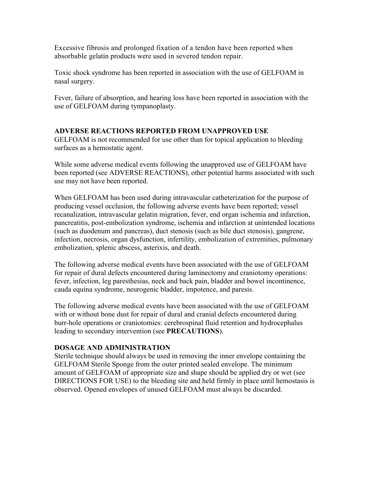Excessive fibrosis and prolonged fixation of a tendon have been reported when absorbable gelatin products were used in severed tendon repair.

Toxic shock syndrome has been reported in association with the use of GELFOAM in nasal surgery.

Fever, failure of absorption, and hearing loss have been reported in association with the use of GELFOAM during tympanoplasty.

# **ADVERSE REACTIONS REPORTED FROM UNAPPROVED USE**

GELFOAM is not recommended for use other than for topical application to bleeding surfaces as a hemostatic agent.

While some adverse medical events following the unapproved use of GELFOAM have been reported (see ADVERSE REACTIONS), other potential harms associated with such use may not have been reported.

When GELFOAM has been used during intravascular catheterization for the purpose of producing vessel occlusion, the following adverse events have been reported; vessel recanalization, intravascular gelatin migration, fever, end organ ischemia and infarction, pancreatitis, post-embolization syndrome, ischemia and infarction at unintended locations (such as duodenum and pancreas), duct stenosis (such as bile duct stenosis), gangrene, infection, necrosis, organ dysfunction, infertility, embolization of extremities, pulmonary embolization, splenic abscess, asterixis, and death.

The following adverse medical events have been associated with the use of GELFOAM for repair of dural defects encountered during laminectomy and craniotomy operations: fever, infection, leg paresthesias, neck and back pain, bladder and bowel incontinence, cauda equina syndrome, neurogenic bladder, impotence, and paresis.

The following adverse medical events have been associated with the use of GELFOAM with or without bone dust for repair of dural and cranial defects encountered during burr-hole operations or craniotomies: cerebrospinal fluid retention and hydrocephalus leading to secondary intervention (see **PRECAUTIONS**).

# **DOSAGE AND ADMINISTRATION**

Sterile technique should always be used in removing the inner envelope containing the GELFOAM Sterile Sponge from the outer printed sealed envelope. The minimum amount of GELFOAM of appropriate size and shape should be applied dry or wet (see DIRECTIONS FOR USE) to the bleeding site and held firmly in place until hemostasis is observed. Opened envelopes of unused GELFOAM must always be discarded.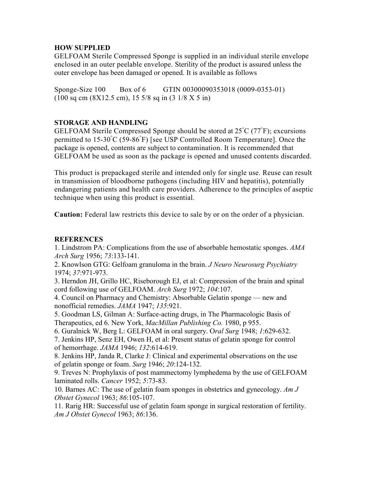# **HOW SUPPLIED**

GELFOAM Sterile Compressed Sponge is supplied in an individual sterile envelope enclosed in an outer peelable envelope. Sterility of the product is assured unless the outer envelope has been damaged or opened. It is available as follows

Sponge-Size 100 Box of 6 GTIN 00300090353018 (0009-0353-01) (100 sq cm (8X12.5 cm), 15 5/8 sq in (3 1/8 X 5 in)

# **STORAGE AND HANDLING**

GELFOAM Sterile Compressed Sponge should be stored at  $25^{\circ}$ C (77 $^{\circ}$ F); excursions permitted to  $15{\text -}30\degree{\text C}$  (59-86 $\degree{\text F}$ ) [see USP Controlled Room Temperature]. Once the package is opened, contents are subject to contamination. It is recommended that GELFOAM be used as soon as the package is opened and unused contents discarded.

This product is prepackaged sterile and intended only for single use. Reuse can result in transmission of bloodborne pathogens (including HIV and hepatitis), potentially endangering patients and health care providers. Adherence to the principles of aseptic technique when using this product is essential.

**Caution:** Federal law restricts this device to sale by or on the order of a physician.

### **REFERENCES**

1. Lindstrom PA: Complications from the use of absorbable hemostatic sponges. *AMA Arch Surg* 1956; *73*:133-141.

2. Knowlson GTG: Gelfoam granuloma in the brain. *J Neuro Neurosurg Psychiatry*  1974; *37*:971-973.

3. Herndon JH, Grillo HC, Riseborough EJ, et al: Compression of the brain and spinal cord following use of GELFOAM. *Arch Surg* 1972; *104*:107.

4. Council on Pharmacy and Chemistry: Absorbable Gelatin sponge — new and nonofficial remedies. *JAMA* 1947; *135*:921.

5. Goodman LS, Gilman A: Surface-acting drugs, in The Pharmacologic Basis of Therapeutics, ed 6. New York, *MacMillan Publishing Co.* 1980, p 955.

6. Guralnick W, Berg L: GELFOAM in oral surgery. O*ral Surg* 1948; *1*:629-632.

7. Jenkins HP, Senz EH, Owen H, et al: Present status of gelatin sponge for control of hemorrhage. *JAMA* 1946; *132*:614-619.

8. Jenkins HP, Janda R, Clarke J: Clinical and experimental observations on the use of gelatin sponge or foam. *Surg* 1946; *20*:124-132.

9. Treves N: Prophylaxis of post mammectomy lymphedema by the use of GELFOAM laminated rolls. *Cancer* 1952; *5*:73-83.

10. Barnes AC: The use of gelatin foam sponges in obstetrics and gynecology. *Am J Obstet Gynecol* 1963; *86*:105-107.

11. Rarig HR: Successful use of gelatin foam sponge in surgical restoration of fertility. *Am J Obstet Gynecol* 1963; *86*:136.